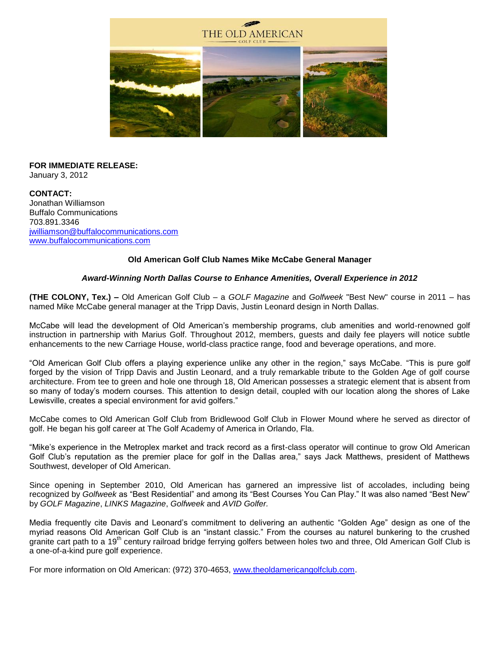

#### **FOR IMMEDIATE RELEASE:** January 3, 2012

**CONTACT:** Jonathan Williamson Buffalo Communications 703.891.3346 [jwilliamson@buffalocommunications.com](mailto:jwilliamson@buffalocommunications.com) [www.buffalocommunications.com](http://links.mkt252.com/ctt?kn=5&ms=NTEyNzQ0OQS2&r=OTc4NDU3Njg0MwS2&b=0&j=MTkxODE4MDIwS0&mt=1&rt=0)

### **Old American Golf Club Names Mike McCabe General Manager**

### *Award-Winning North Dallas Course to Enhance Amenities, Overall Experience in 2012*

**(THE COLONY, Tex.) –** Old American Golf Club – a *GOLF Magazine* and *Golfweek* "Best New" course in 2011 – has named Mike McCabe general manager at the Tripp Davis, Justin Leonard design in North Dallas.

McCabe will lead the development of Old American's membership programs, club amenities and world-renowned golf instruction in partnership with Marius Golf. Throughout 2012, members, guests and daily fee players will notice subtle enhancements to the new Carriage House, world-class practice range, food and beverage operations, and more.

"Old American Golf Club offers a playing experience unlike any other in the region," says McCabe. "This is pure golf forged by the vision of Tripp Davis and Justin Leonard, and a truly remarkable tribute to the Golden Age of golf course architecture. From tee to green and hole one through 18, Old American possesses a strategic element that is absent from so many of today's modern courses. This attention to design detail, coupled with our location along the shores of Lake Lewisville, creates a special environment for avid golfers."

McCabe comes to Old American Golf Club from Bridlewood Golf Club in Flower Mound where he served as director of golf. He began his golf career at The Golf Academy of America in Orlando, Fla.

"Mike's experience in the Metroplex market and track record as a first-class operator will continue to grow Old American Golf Club's reputation as the premier place for golf in the Dallas area," says Jack Matthews, president of Matthews Southwest, developer of Old American.

Since opening in September 2010, Old American has garnered an impressive list of accolades, including being recognized by *Golfweek* as "Best Residential" and among its "Best Courses You Can Play." It was also named "Best New" by *GOLF Magazine*, *LINKS Magazine*, *Golfweek* and *AVID Golfer.*

Media frequently cite Davis and Leonard's commitment to delivering an authentic "Golden Age" design as one of the myriad reasons Old American Golf Club is an "instant classic." From the courses au naturel bunkering to the crushed granite cart path to a 19<sup>th</sup> century railroad bridge ferrying golfers between holes two and three, Old American Golf Club is a one-of-a-kind pure golf experience.

For more information on Old American: (972) 370-4653, [www.theoldamericangolfclub.com.](http://links.mkt252.com/ctt?kn=1&ms=NTEyNzQ0OQS2&r=OTc4NDU3Njg0MwS2&b=0&j=MTkxODE4MDIwS0&mt=1&rt=0)